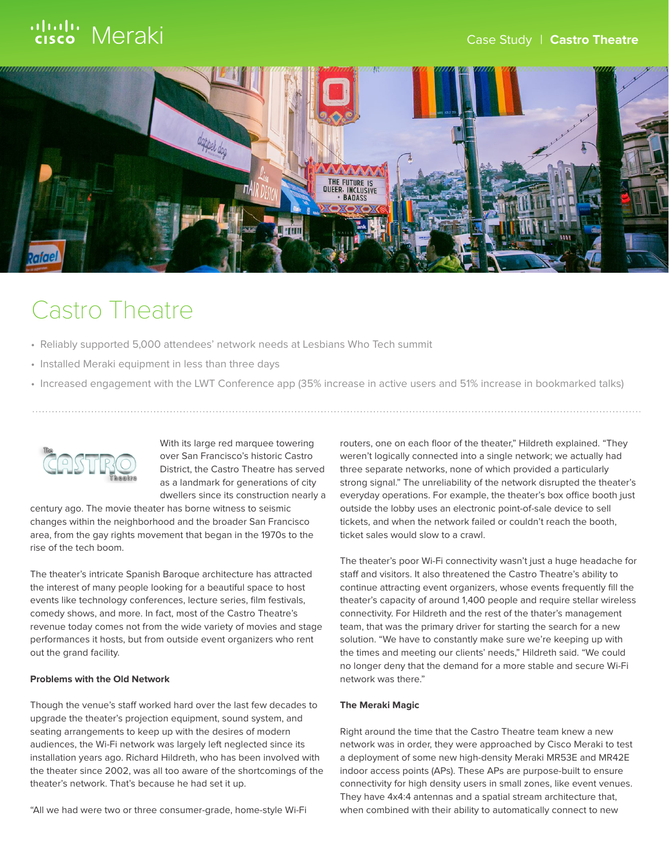# ululu Meraki



## Castro Theatre

- Reliably supported 5,000 attendees' network needs at Lesbians Who Tech summit
- Installed Meraki equipment in less than three days
- Increased engagement with the LWT Conference app (35% increase in active users and 51% increase in bookmarked talks)



With its large red marquee towering over San Francisco's historic Castro District, the Castro Theatre has served as a landmark for generations of city dwellers since its construction nearly a

century ago. The movie theater has borne witness to seismic changes within the neighborhood and the broader San Francisco area, from the gay rights movement that began in the 1970s to the rise of the tech boom.

The theater's intricate Spanish Baroque architecture has attracted the interest of many people looking for a beautiful space to host events like technology conferences, lecture series, film festivals, comedy shows, and more. In fact, most of the Castro Theatre's revenue today comes not from the wide variety of movies and stage performances it hosts, but from outside event organizers who rent out the grand facility.

### **Problems with the Old Network**

Though the venue's staff worked hard over the last few decades to upgrade the theater's projection equipment, sound system, and seating arrangements to keep up with the desires of modern audiences, the Wi-Fi network was largely left neglected since its installation years ago. Richard Hildreth, who has been involved with the theater since 2002, was all too aware of the shortcomings of the theater's network. That's because he had set it up.

"All we had were two or three consumer-grade, home-style Wi-Fi

routers, one on each floor of the theater," Hildreth explained. "They weren't logically connected into a single network; we actually had three separate networks, none of which provided a particularly strong signal." The unreliability of the network disrupted the theater's everyday operations. For example, the theater's box office booth just outside the lobby uses an electronic point-of-sale device to sell tickets, and when the network failed or couldn't reach the booth, ticket sales would slow to a crawl.

The theater's poor Wi-Fi connectivity wasn't just a huge headache for staff and visitors. It also threatened the Castro Theatre's ability to continue attracting event organizers, whose events frequently fill the theater's capacity of around 1,400 people and require stellar wireless connectivity. For Hildreth and the rest of the thater's management team, that was the primary driver for starting the search for a new solution. "We have to constantly make sure we're keeping up with the times and meeting our clients' needs," Hildreth said. "We could no longer deny that the demand for a more stable and secure Wi-Fi network was there."

#### **The Meraki Magic**

Right around the time that the Castro Theatre team knew a new network was in order, they were approached by Cisco Meraki to test a deployment of some new high-density Meraki MR53E and MR42E indoor access points (APs). These APs are purpose-built to ensure connectivity for high density users in small zones, like event venues. They have 4x4:4 antennas and a spatial stream architecture that, when combined with their ability to automatically connect to new